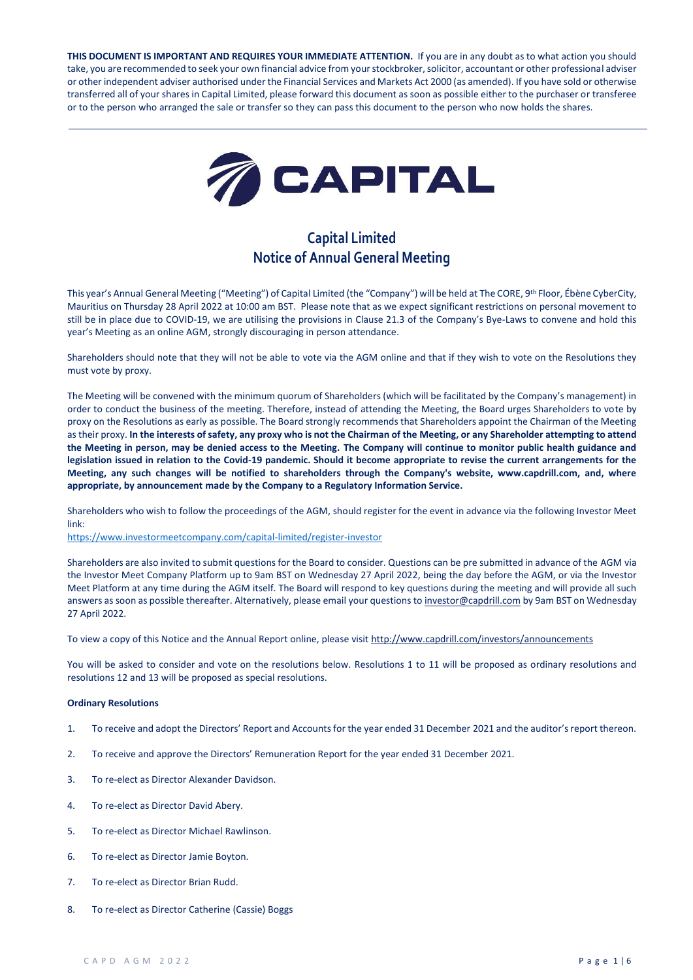**THIS DOCUMENT IS IMPORTANT AND REQUIRES YOUR IMMEDIATE ATTENTION.** If you are in any doubt as to what action you should take, you are recommended to seek your own financial advice from your stockbroker, solicitor, accountant or other professional adviser or other independent adviser authorised under the Financial Services and Markets Act 2000 (as amended). If you have sold or otherwise transferred all of your shares in Capital Limited, please forward this document as soon as possible either to the purchaser or transferee or to the person who arranged the sale or transfer so they can pass this document to the person who now holds the shares.



# **Capital Limited Notice of Annual General Meeting**

This year's Annual General Meeting ("Meeting") of Capital Limited (the "Company") will be held at The CORE, 9th Floor, Ébène CyberCity, Mauritius on Thursday 28 April 2022 at 10:00 am BST. Please note that as we expect significant restrictions on personal movement to still be in place due to COVID-19, we are utilising the provisions in Clause 21.3 of the Company's Bye-Laws to convene and hold this year's Meeting as an online AGM, strongly discouraging in person attendance.

Shareholders should note that they will not be able to vote via the AGM online and that if they wish to vote on the Resolutions they must vote by proxy.

The Meeting will be convened with the minimum quorum of Shareholders (which will be facilitated by the Company's management) in order to conduct the business of the meeting. Therefore, instead of attending the Meeting, the Board urges Shareholders to vote by proxy on the Resolutions as early as possible. The Board strongly recommends that Shareholders appoint the Chairman of the Meeting as their proxy. **In the interests of safety, any proxy who is not the Chairman of the Meeting, or any Shareholder attempting to attend the Meeting in person, may be denied access to the Meeting. The Company will continue to monitor public health guidance and legislation issued in relation to the Covid-19 pandemic. Should it become appropriate to revise the current arrangements for the Meeting, any such changes will be notified to shareholders through the Company's website, www.capdrill.com, and, where appropriate, by announcement made by the Company to a Regulatory Information Service.**

Shareholders who wish to follow the proceedings of the AGM, should register for the event in advance via the following Investor Meet link:

<https://www.investormeetcompany.com/capital-limited/register-investor>

Shareholders are also invited to submit questions for the Board to consider. Questions can be pre submitted in advance of the AGM via the Investor Meet Company Platform up to 9am BST on Wednesday 27 April 2022, being the day before the AGM, or via the Investor Meet Platform at any time during the AGM itself. The Board will respond to key questions during the meeting and will provide all such answers as soon as possible thereafter. Alternatively, please email your questions t[o investor@capdrill.com](mailto:investor@capdrill.com) by 9am BST on Wednesday 27 April 2022.

To view a copy of this Notice and the Annual Report online, please visit<http://www.capdrill.com/investors/announcements>

You will be asked to consider and vote on the resolutions below. Resolutions 1 to 11 will be proposed as ordinary resolutions and resolutions 12 and 13 will be proposed as special resolutions.

# **Ordinary Resolutions**

- 1. To receive and adopt the Directors' Report and Accounts for the year ended 31 December 2021 and the auditor's report thereon.
- 2. To receive and approve the Directors' Remuneration Report for the year ended 31 December 2021.
- 3. To re-elect as Director Alexander Davidson.
- 4. To re-elect as Director David Abery.
- 5. To re-elect as Director Michael Rawlinson.
- 6. To re-elect as Director Jamie Boyton.
- 7. To re-elect as Director Brian Rudd.
- 8. To re-elect as Director Catherine (Cassie) Boggs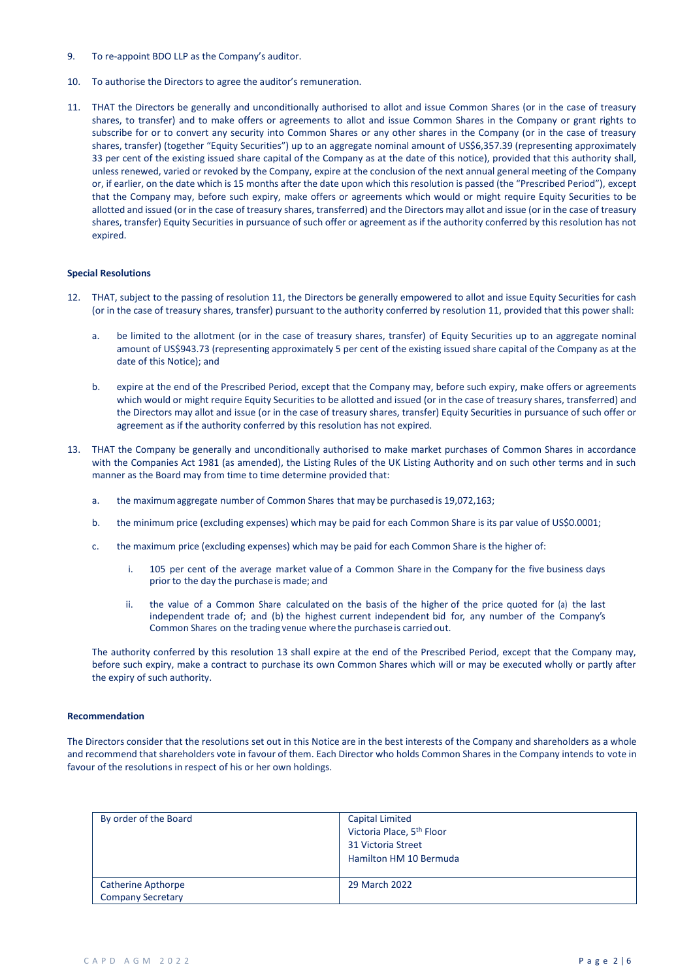- 9. To re-appoint BDO LLP as the Company's auditor.
- 10. To authorise the Directors to agree the auditor's remuneration.
- 11. THAT the Directors be generally and unconditionally authorised to allot and issue Common Shares (or in the case of treasury shares, to transfer) and to make offers or agreements to allot and issue Common Shares in the Company or grant rights to subscribe for or to convert any security into Common Shares or any other shares in the Company (or in the case of treasury shares, transfer) (together "Equity Securities") up to an aggregate nominal amount of US\$6,357.39 (representing approximately 33 per cent of the existing issued share capital of the Company as at the date of this notice), provided that this authority shall, unless renewed, varied or revoked by the Company, expire at the conclusion of the next annual general meeting of the Company or, if earlier, on the date which is 15 months after the date upon which this resolution is passed (the "Prescribed Period"), except that the Company may, before such expiry, make offers or agreements which would or might require Equity Securities to be allotted and issued (or in the case of treasury shares, transferred) and the Directors may allot and issue (or in the case of treasury shares, transfer) Equity Securities in pursuance of such offer or agreement as if the authority conferred by this resolution has not expired.

## **Special Resolutions**

- 12. THAT, subject to the passing of resolution 11, the Directors be generally empowered to allot and issue Equity Securities for cash (or in the case of treasury shares, transfer) pursuant to the authority conferred by resolution 11, provided that this power shall:
	- be limited to the allotment (or in the case of treasury shares, transfer) of Equity Securities up to an aggregate nominal amount of US\$943.73 (representing approximately 5 per cent of the existing issued share capital of the Company as at the date of this Notice); and
	- b. expire at the end of the Prescribed Period, except that the Company may, before such expiry, make offers or agreements which would or might require Equity Securities to be allotted and issued (or in the case of treasury shares, transferred) and the Directors may allot and issue (or in the case of treasury shares, transfer) Equity Securities in pursuance of such offer or agreement as if the authority conferred by this resolution has not expired.
- 13. THAT the Company be generally and unconditionally authorised to make market purchases of Common Shares in accordance with the Companies Act 1981 (as amended), the Listing Rules of the UK Listing Authority and on such other terms and in such manner as the Board may from time to time determine provided that:
	- a. the maximumaggregate number of Common Shares that may be purchasedis 19,072,163;
	- b. the minimum price (excluding expenses) which may be paid for each Common Share is its par value of US\$0.0001;
	- c. the maximum price (excluding expenses) which may be paid for each Common Share is the higher of:
		- i. 105 per cent of the average market value of a Common Share in the Company for the five business days prior to the day the purchaseis made; and
		- ii. the value of a Common Share calculated on the basis of the higher of the price quoted for (a) the last independent trade of; and (b) the highest current independent bid for, any number of the Company's Common Shares on the trading venue where the purchaseis carried out.

The authority conferred by this resolution 13 shall expire at the end of the Prescribed Period, except that the Company may, before such expiry, make a contract to purchase its own Common Shares which will or may be executed wholly or partly after the expiry of such authority.

#### **Recommendation**

The Directors consider that the resolutions set out in this Notice are in the best interests of the Company and shareholders as a whole and recommend that shareholders vote in favour of them. Each Director who holds Common Shares in the Company intends to vote in favour of the resolutions in respect of his or her own holdings.

| By order of the Board                          | Capital Limited<br>Victoria Place, 5 <sup>th</sup> Floor<br>31 Victoria Street<br>Hamilton HM 10 Bermuda |
|------------------------------------------------|----------------------------------------------------------------------------------------------------------|
| Catherine Apthorpe<br><b>Company Secretary</b> | 29 March 2022                                                                                            |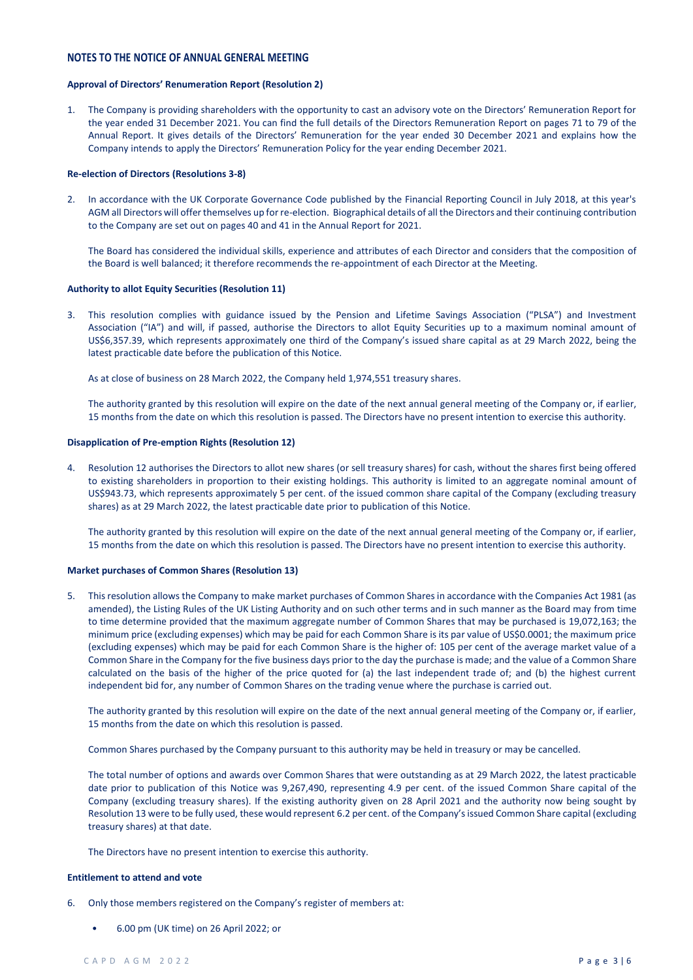# **NOTES TO THE NOTICE OF ANNUAL GENERAL MEETING**

# **Approval of Directors' Renumeration Report (Resolution 2)**

1. The Company is providing shareholders with the opportunity to cast an advisory vote on the Directors' Remuneration Report for the year ended 31 December 2021. You can find the full details of the Directors Remuneration Report on pages 71 to 79 of the Annual Report. It gives details of the Directors' Remuneration for the year ended 30 December 2021 and explains how the Company intends to apply the Directors' Remuneration Policy for the year ending December 2021.

## **Re-election of Directors (Resolutions 3-8)**

2. In accordance with the UK Corporate Governance Code published by the Financial Reporting Council in July 2018, at this year's AGM all Directors will offer themselves up for re-election. Biographical details of all the Directors and their continuing contribution to the Company are set out on pages 40 and 41 in the Annual Report for 2021.

The Board has considered the individual skills, experience and attributes of each Director and considers that the composition of the Board is well balanced; it therefore recommends the re-appointment of each Director at the Meeting.

## **Authority to allot Equity Securities (Resolution 11)**

3. This resolution complies with guidance issued by the Pension and Lifetime Savings Association ("PLSA") and Investment Association ("IA") and will, if passed, authorise the Directors to allot Equity Securities up to a maximum nominal amount of US\$6,357.39, which represents approximately one third of the Company's issued share capital as at 29 March 2022, being the latest practicable date before the publication of this Notice.

As at close of business on 28 March 2022, the Company held 1,974,551 treasury shares.

The authority granted by this resolution will expire on the date of the next annual general meeting of the Company or, if earlier, 15 months from the date on which this resolution is passed. The Directors have no present intention to exercise this authority.

## **Disapplication of Pre-emption Rights (Resolution 12)**

4. Resolution 12 authorises the Directors to allot new shares (or sell treasury shares) for cash, without the shares first being offered to existing shareholders in proportion to their existing holdings. This authority is limited to an aggregate nominal amount of US\$943.73, which represents approximately 5 per cent. of the issued common share capital of the Company (excluding treasury shares) as at 29 March 2022, the latest practicable date prior to publication of this Notice.

The authority granted by this resolution will expire on the date of the next annual general meeting of the Company or, if earlier, 15 months from the date on which this resolution is passed. The Directors have no present intention to exercise this authority.

## **Market purchases of Common Shares (Resolution 13)**

5. This resolution allows the Company to make market purchases of Common Shares in accordance with the Companies Act 1981 (as amended), the Listing Rules of the UK Listing Authority and on such other terms and in such manner as the Board may from time to time determine provided that the maximum aggregate number of Common Shares that may be purchased is 19,072,163; the minimum price (excluding expenses) which may be paid for each Common Share is its par value of US\$0.0001; the maximum price (excluding expenses) which may be paid for each Common Share is the higher of: 105 per cent of the average market value of a Common Share in the Company for the five business days prior to the day the purchase is made; and the value of a Common Share calculated on the basis of the higher of the price quoted for (a) the last independent trade of; and (b) the highest current independent bid for, any number of Common Shares on the trading venue where the purchase is carried out.

The authority granted by this resolution will expire on the date of the next annual general meeting of the Company or, if earlier, 15 months from the date on which this resolution is passed.

Common Shares purchased by the Company pursuant to this authority may be held in treasury or may be cancelled.

The total number of options and awards over Common Shares that were outstanding as at 29 March 2022, the latest practicable date prior to publication of this Notice was 9,267,490, representing 4.9 per cent. of the issued Common Share capital of the Company (excluding treasury shares). If the existing authority given on 28 April 2021 and the authority now being sought by Resolution 13 were to be fully used, these would represent 6.2 per cent. of the Company's issued Common Share capital (excluding treasury shares) at that date.

The Directors have no present intention to exercise this authority.

## **Entitlement to attend and vote**

- 6. Only those members registered on the Company's register of members at:
	- 6.00 pm (UK time) on 26 April 2022; or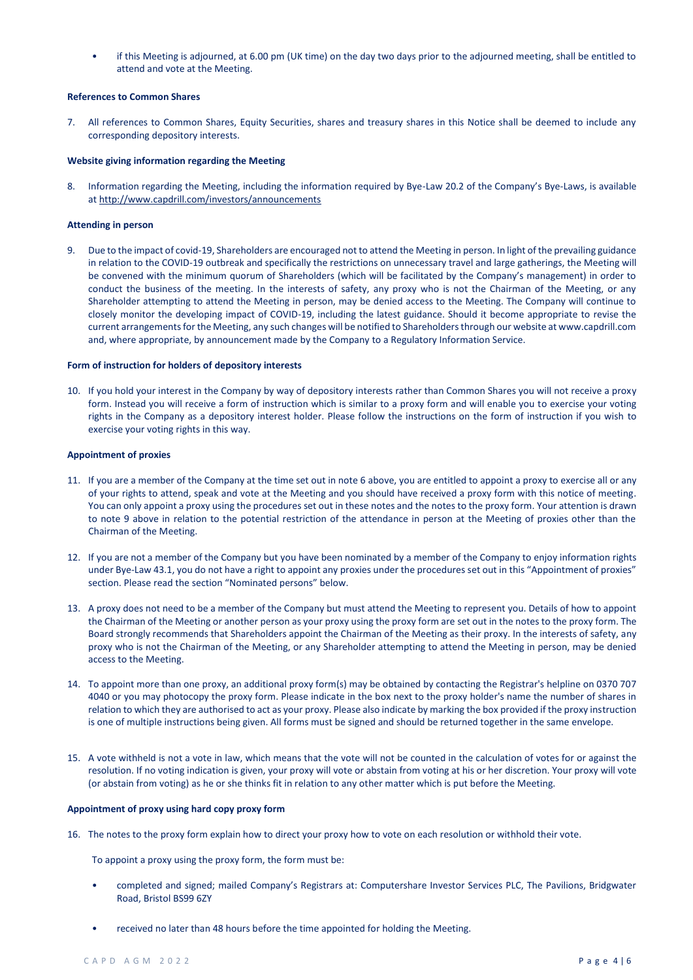• if this Meeting is adjourned, at 6.00 pm (UK time) on the day two days prior to the adjourned meeting, shall be entitled to attend and vote at the Meeting.

## **References to Common Shares**

7. All references to Common Shares, Equity Securities, shares and treasury shares in this Notice shall be deemed to include any corresponding depository interests.

# **Website giving information regarding the Meeting**

8. Information regarding the Meeting, including the information required by Bye-Law 20.2 of the Company's Bye-Laws, is available a[t http://www.capdrill.com/investors/announcements](http://www.capdrill.com/investors/announcements)

# **Attending in person**

9. Due to the impact of covid-19, Shareholders are encouraged not to attend the Meeting in person. In light of the prevailing guidance in relation to the COVID-19 outbreak and specifically the restrictions on unnecessary travel and large gatherings, the Meeting will be convened with the minimum quorum of Shareholders (which will be facilitated by the Company's management) in order to conduct the business of the meeting. In the interests of safety, any proxy who is not the Chairman of the Meeting, or any Shareholder attempting to attend the Meeting in person, may be denied access to the Meeting. The Company will continue to closely monitor the developing impact of COVID-19, including the latest guidance. Should it become appropriate to revise the current arrangements for the Meeting, any such changes will be notified to Shareholders through our website at www.capdrill.com and, where appropriate, by announcement made by the Company to a Regulatory Information Service.

## **Form of instruction for holders of depository interests**

10. If you hold your interest in the Company by way of depository interests rather than Common Shares you will not receive a proxy form. Instead you will receive a form of instruction which is similar to a proxy form and will enable you to exercise your voting rights in the Company as a depository interest holder. Please follow the instructions on the form of instruction if you wish to exercise your voting rights in this way.

## **Appointment of proxies**

- 11. If you are a member of the Company at the time set out in note 6 above, you are entitled to appoint a proxy to exercise all or any of your rights to attend, speak and vote at the Meeting and you should have received a proxy form with this notice of meeting. You can only appoint a proxy using the procedures set out in these notes and the notes to the proxy form. Your attention is drawn to note 9 above in relation to the potential restriction of the attendance in person at the Meeting of proxies other than the Chairman of the Meeting.
- 12. If you are not a member of the Company but you have been nominated by a member of the Company to enjoy information rights under Bye-Law 43.1, you do not have a right to appoint any proxies under the procedures set out in this "Appointment of proxies" section. Please read the section "Nominated persons" below.
- 13. A proxy does not need to be a member of the Company but must attend the Meeting to represent you. Details of how to appoint the Chairman of the Meeting or another person as your proxy using the proxy form are set out in the notes to the proxy form. The Board strongly recommends that Shareholders appoint the Chairman of the Meeting as their proxy. In the interests of safety, any proxy who is not the Chairman of the Meeting, or any Shareholder attempting to attend the Meeting in person, may be denied access to the Meeting.
- 14. To appoint more than one proxy, an additional proxy form(s) may be obtained by contacting the Registrar's helpline on 0370 707 4040 or you may photocopy the proxy form. Please indicate in the box next to the proxy holder's name the number of shares in relation to which they are authorised to act as your proxy. Please also indicate by marking the box provided if the proxy instruction is one of multiple instructions being given. All forms must be signed and should be returned together in the same envelope.
- 15. A vote withheld is not a vote in law, which means that the vote will not be counted in the calculation of votes for or against the resolution. If no voting indication is given, your proxy will vote or abstain from voting at his or her discretion. Your proxy will vote (or abstain from voting) as he or she thinks fit in relation to any other matter which is put before the Meeting.

# **Appointment of proxy using hard copy proxy form**

16. The notes to the proxy form explain how to direct your proxy how to vote on each resolution or withhold their vote.

To appoint a proxy using the proxy form, the form must be:

- completed and signed; mailed Company's Registrars at: Computershare Investor Services PLC, The Pavilions, Bridgwater Road, Bristol BS99 6ZY
- received no later than 48 hours before the time appointed for holding the Meeting.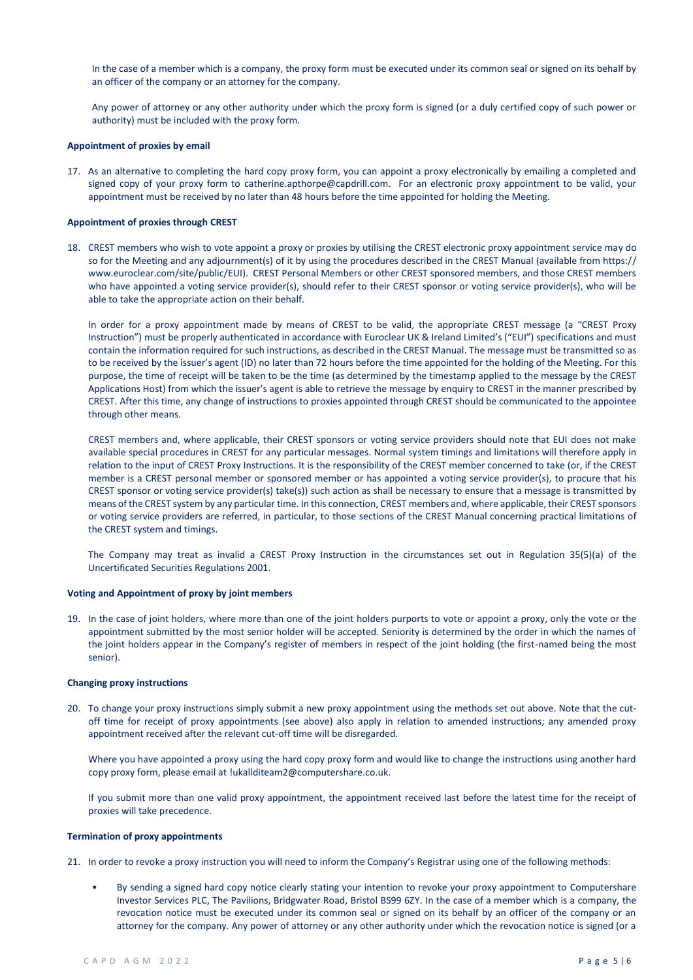In the case of a member which is a company, the proxy form must be executed under its common seal or signed on its behalf by an officer of the company or an attorney for the company.

Any power of attorney or any other authority under which the proxy form is signed (or a duly certified copy of such power or authority) must be included with the proxy form.

#### **Appointment of proxies by email**

17. As an alternative to completing the hard copy proxy form, you can appoint a proxy electronically by emailing a completed and signed copy of your proxy form to catherine.apthorpe@capdrill.com. For an electronic proxy appointment to be valid, your appointment must be received by no later than 48 hours before the time appointed for holding the Meeting.

## **Appointment of proxies through CREST**

18. CREST members who wish to vote appoint a proxy or proxies by utilising the CREST electronic proxy appointment service may do so for the Meeting and any adjournment(s) of it by using the procedures described in the CREST Manual (available from https:// www.euroclear.com/site/public/EUI). CREST Personal Members or other CREST sponsored members, and those CREST members who have appointed a voting service provider(s), should refer to their CREST sponsor or voting service provider(s), who will be able to take the appropriate action on their behalf.

In order for a proxy appointment made by means of CREST to be valid, the appropriate CREST message (a "CREST Proxy Instruction") must be properly authenticated in accordance with Euroclear UK & Ireland Limited's ("EUI") specifications and must contain the information required for such instructions, as described in the CREST Manual. The message must be transmitted so as to be received by the issuer's agent (ID) no later than 72 hours before the time appointed for the holding of the Meeting. For this purpose, the time of receipt will be taken to be the time (as determined by the timestamp applied to the message by the CREST Applications Host) from which the issuer's agent is able to retrieve the message by enquiry to CREST in the manner prescribed by CREST. After this time, any change of instructions to proxies appointed through CREST should be communicated to the appointee through other means.

CREST members and, where applicable, their CREST sponsors or voting service providers should note that EUI does not make available special procedures in CREST for any particular messages. Normal system timings and limitations will therefore apply in relation to the input of CREST Proxy Instructions. It is the responsibility of the CREST member concerned to take (or, if the CREST member is a CREST personal member or sponsored member or has appointed a voting service provider(s), to procure that his CREST sponsor or voting service provider(s) take(s)) such action as shall be necessary to ensure that a message is transmitted by means of the CREST system by any particular time. In this connection, CREST members and, where applicable, their CREST sponsors or voting service providers are referred, in particular, to those sections of the CREST Manual concerning practical limitations of the CREST system and timings.

The Company may treat as invalid a CREST Proxy Instruction in the circumstances set out in Regulation 35(5)(a) of the Uncertificated Securities Regulations 2001.

#### **Voting and Appointment of proxy by joint members**

19. In the case of joint holders, where more than one of the joint holders purports to vote or appoint a proxy, only the vote or the appointment submitted by the most senior holder will be accepted. Seniority is determined by the order in which the names of the joint holders appear in the Company's register of members in respect of the joint holding (the first-named being the most senior).

## **Changing proxy instructions**

20. To change your proxy instructions simply submit a new proxy appointment using the methods set out above. Note that the cutoff time for receipt of proxy appointments (see above) also apply in relation to amended instructions; any amended proxy appointment received after the relevant cut-off time will be disregarded.

Where you have appointed a proxy using the hard copy proxy form and would like to change the instructions using another hard copy proxy form, please email at !ukallditeam2@computershare.co.uk.

If you submit more than one valid proxy appointment, the appointment received last before the latest time for the receipt of proxies will take precedence.

#### **Termination of proxy appointments**

21. In order to revoke a proxy instruction you will need to inform the Company's Registrar using one of the following methods:

• By sending a signed hard copy notice clearly stating your intention to revoke your proxy appointment to Computershare Investor Services PLC, The Pavilions, Bridgwater Road, Bristol BS99 6ZY. In the case of a member which is a company, the revocation notice must be executed under its common seal or signed on its behalf by an officer of the company or an attorney for the company. Any power of attorney or any other authority under which the revocation notice is signed (or a